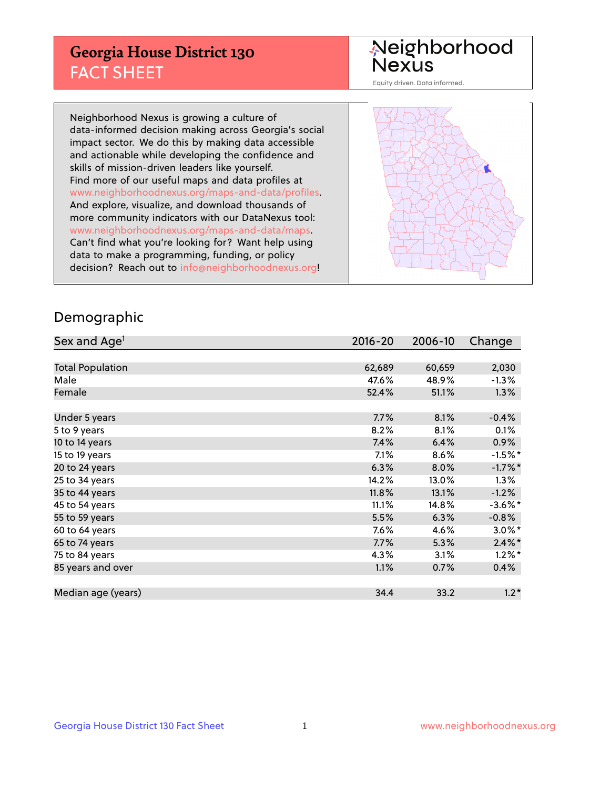## **Georgia House District 130** FACT SHEET

# Neighborhood<br>Nexus

Equity driven. Data informed.

Neighborhood Nexus is growing a culture of data-informed decision making across Georgia's social impact sector. We do this by making data accessible and actionable while developing the confidence and skills of mission-driven leaders like yourself. Find more of our useful maps and data profiles at www.neighborhoodnexus.org/maps-and-data/profiles. And explore, visualize, and download thousands of more community indicators with our DataNexus tool: www.neighborhoodnexus.org/maps-and-data/maps. Can't find what you're looking for? Want help using data to make a programming, funding, or policy decision? Reach out to [info@neighborhoodnexus.org!](mailto:info@neighborhoodnexus.org)



### Demographic

| Sex and Age <sup>1</sup> | $2016 - 20$ | 2006-10 | Change     |
|--------------------------|-------------|---------|------------|
|                          |             |         |            |
| <b>Total Population</b>  | 62,689      | 60,659  | 2,030      |
| Male                     | 47.6%       | 48.9%   | $-1.3\%$   |
| Female                   | 52.4%       | 51.1%   | 1.3%       |
|                          |             |         |            |
| Under 5 years            | 7.7%        | 8.1%    | $-0.4%$    |
| 5 to 9 years             | 8.2%        | 8.1%    | 0.1%       |
| 10 to 14 years           | 7.4%        | 6.4%    | 0.9%       |
| 15 to 19 years           | 7.1%        | 8.6%    | $-1.5%$ *  |
| 20 to 24 years           | 6.3%        | 8.0%    | $-1.7%$ *  |
| 25 to 34 years           | 14.2%       | 13.0%   | $1.3\%$    |
| 35 to 44 years           | 11.8%       | 13.1%   | $-1.2%$    |
| 45 to 54 years           | 11.1%       | 14.8%   | $-3.6\%$ * |
| 55 to 59 years           | 5.5%        | 6.3%    | $-0.8%$    |
| 60 to 64 years           | 7.6%        | 4.6%    | $3.0\%$ *  |
| 65 to 74 years           | 7.7%        | 5.3%    | $2.4\%$ *  |
| 75 to 84 years           | 4.3%        | 3.1%    | $1.2\%$ *  |
| 85 years and over        | 1.1%        | 0.7%    | 0.4%       |
|                          |             |         |            |
| Median age (years)       | 34.4        | 33.2    | $1.2*$     |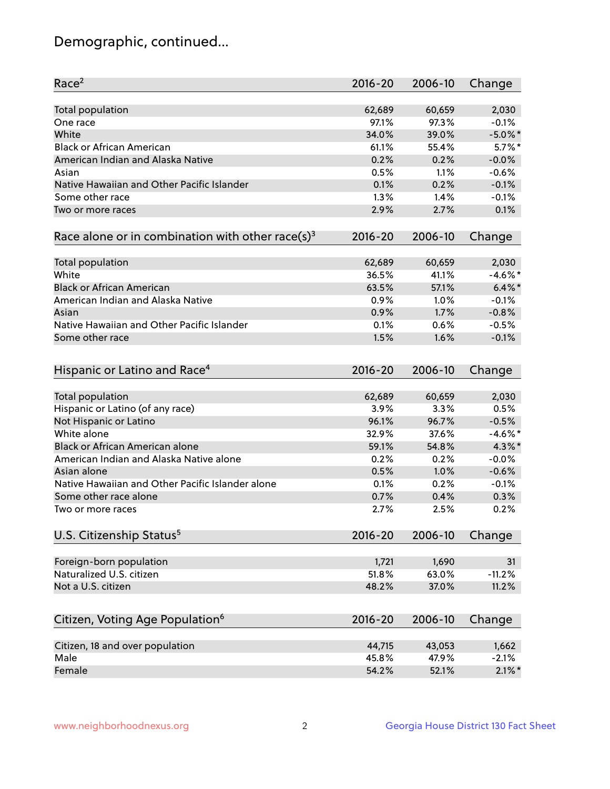## Demographic, continued...

| Race <sup>2</sup>                                            | $2016 - 20$ | 2006-10 | Change     |
|--------------------------------------------------------------|-------------|---------|------------|
| <b>Total population</b>                                      | 62,689      | 60,659  | 2,030      |
| One race                                                     | 97.1%       | 97.3%   | $-0.1%$    |
| White                                                        | 34.0%       | 39.0%   | $-5.0\%$ * |
| <b>Black or African American</b>                             | 61.1%       | 55.4%   | $5.7\%$ *  |
| American Indian and Alaska Native                            | 0.2%        | 0.2%    | $-0.0%$    |
| Asian                                                        | 0.5%        | 1.1%    | $-0.6%$    |
| Native Hawaiian and Other Pacific Islander                   | 0.1%        | 0.2%    | $-0.1%$    |
| Some other race                                              | 1.3%        | 1.4%    | $-0.1%$    |
| Two or more races                                            | 2.9%        | 2.7%    | 0.1%       |
| Race alone or in combination with other race(s) <sup>3</sup> | $2016 - 20$ | 2006-10 | Change     |
| <b>Total population</b>                                      | 62,689      | 60,659  | 2,030      |
| White                                                        | 36.5%       | 41.1%   | $-4.6\%$ * |
| <b>Black or African American</b>                             | 63.5%       | 57.1%   | $6.4\%$ *  |
| American Indian and Alaska Native                            | 0.9%        | 1.0%    | $-0.1%$    |
| Asian                                                        | 0.9%        | 1.7%    | $-0.8%$    |
| Native Hawaiian and Other Pacific Islander                   | 0.1%        | 0.6%    | $-0.5%$    |
| Some other race                                              | 1.5%        | 1.6%    | $-0.1%$    |
|                                                              |             |         |            |
| Hispanic or Latino and Race <sup>4</sup>                     | $2016 - 20$ | 2006-10 | Change     |
| <b>Total population</b>                                      | 62,689      | 60,659  | 2,030      |
| Hispanic or Latino (of any race)                             | 3.9%        | 3.3%    | 0.5%       |
| Not Hispanic or Latino                                       | 96.1%       | 96.7%   | $-0.5%$    |
| White alone                                                  | 32.9%       | 37.6%   | $-4.6%$ *  |
| <b>Black or African American alone</b>                       | 59.1%       | 54.8%   | $4.3\%$ *  |
| American Indian and Alaska Native alone                      | 0.2%        | 0.2%    | $-0.0%$    |
| Asian alone                                                  | 0.5%        | 1.0%    | $-0.6%$    |
| Native Hawaiian and Other Pacific Islander alone             | 0.1%        | 0.2%    | $-0.1%$    |
| Some other race alone                                        | 0.7%        | 0.4%    | 0.3%       |
| Two or more races                                            | 2.7%        | 2.5%    | 0.2%       |
| U.S. Citizenship Status <sup>5</sup>                         | $2016 - 20$ | 2006-10 | Change     |
|                                                              |             |         |            |
| Foreign-born population                                      | 1,721       | 1,690   | 31         |
| Naturalized U.S. citizen                                     | 51.8%       | 63.0%   | $-11.2%$   |
| Not a U.S. citizen                                           | 48.2%       | 37.0%   | 11.2%      |
| Citizen, Voting Age Population <sup>6</sup>                  | 2016-20     | 2006-10 | Change     |
|                                                              |             |         |            |
| Citizen, 18 and over population                              | 44,715      | 43,053  | 1,662      |
| Male                                                         | 45.8%       | 47.9%   | $-2.1%$    |
| Female                                                       | 54.2%       | 52.1%   | $2.1\%$ *  |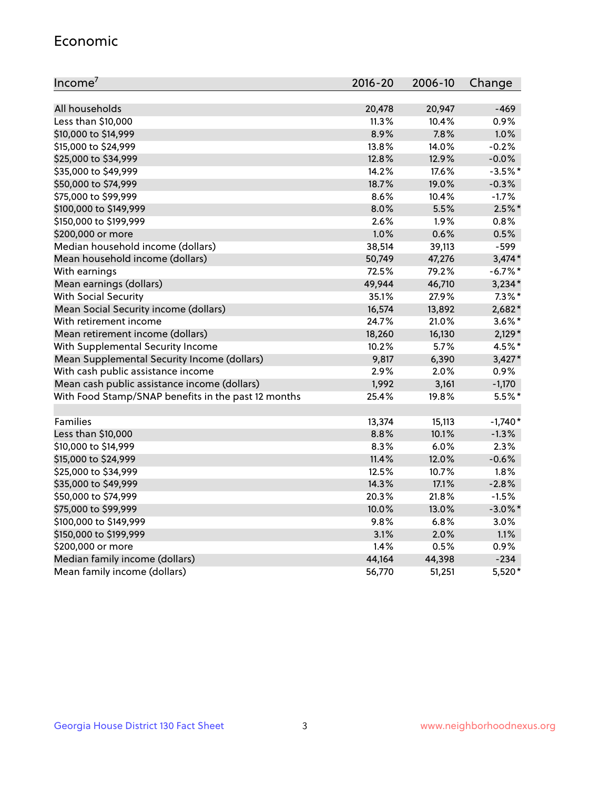#### Economic

| Income <sup>7</sup>                                 | $2016 - 20$ | 2006-10 | Change     |
|-----------------------------------------------------|-------------|---------|------------|
|                                                     |             |         |            |
| All households                                      | 20,478      | 20,947  | $-469$     |
| Less than \$10,000                                  | 11.3%       | 10.4%   | 0.9%       |
| \$10,000 to \$14,999                                | 8.9%        | 7.8%    | 1.0%       |
| \$15,000 to \$24,999                                | 13.8%       | 14.0%   | $-0.2%$    |
| \$25,000 to \$34,999                                | 12.8%       | 12.9%   | $-0.0%$    |
| \$35,000 to \$49,999                                | 14.2%       | 17.6%   | $-3.5%$ *  |
| \$50,000 to \$74,999                                | 18.7%       | 19.0%   | $-0.3%$    |
| \$75,000 to \$99,999                                | 8.6%        | 10.4%   | $-1.7%$    |
| \$100,000 to \$149,999                              | 8.0%        | 5.5%    | $2.5%$ *   |
| \$150,000 to \$199,999                              | 2.6%        | 1.9%    | 0.8%       |
| \$200,000 or more                                   | 1.0%        | 0.6%    | 0.5%       |
| Median household income (dollars)                   | 38,514      | 39,113  | $-599$     |
| Mean household income (dollars)                     | 50,749      | 47,276  | $3,474*$   |
| With earnings                                       | 72.5%       | 79.2%   | $-6.7%$ *  |
| Mean earnings (dollars)                             | 49,944      | 46,710  | $3,234*$   |
| <b>With Social Security</b>                         | 35.1%       | 27.9%   | $7.3\%$ *  |
| Mean Social Security income (dollars)               | 16,574      | 13,892  | 2,682*     |
| With retirement income                              | 24.7%       | 21.0%   | $3.6\%$ *  |
| Mean retirement income (dollars)                    | 18,260      | 16,130  | $2,129*$   |
| With Supplemental Security Income                   | 10.2%       | $5.7\%$ | 4.5%*      |
| Mean Supplemental Security Income (dollars)         | 9,817       | 6,390   | $3,427*$   |
| With cash public assistance income                  | 2.9%        | 2.0%    | 0.9%       |
| Mean cash public assistance income (dollars)        | 1,992       | 3,161   | $-1,170$   |
| With Food Stamp/SNAP benefits in the past 12 months | 25.4%       | 19.8%   | 5.5%*      |
|                                                     |             |         |            |
| Families                                            | 13,374      | 15,113  | $-1,740*$  |
| Less than \$10,000                                  | 8.8%        | 10.1%   | $-1.3%$    |
| \$10,000 to \$14,999                                | 8.3%        | 6.0%    | 2.3%       |
| \$15,000 to \$24,999                                | 11.4%       | 12.0%   | $-0.6%$    |
| \$25,000 to \$34,999                                | 12.5%       | 10.7%   | 1.8%       |
| \$35,000 to \$49,999                                | 14.3%       | 17.1%   | $-2.8%$    |
| \$50,000 to \$74,999                                | 20.3%       | 21.8%   | $-1.5%$    |
| \$75,000 to \$99,999                                | 10.0%       | 13.0%   | $-3.0\%$ * |
| \$100,000 to \$149,999                              | 9.8%        | $6.8\%$ | 3.0%       |
| \$150,000 to \$199,999                              | 3.1%        | 2.0%    | 1.1%       |
| \$200,000 or more                                   | 1.4%        | 0.5%    | 0.9%       |
| Median family income (dollars)                      | 44,164      | 44,398  | $-234$     |
| Mean family income (dollars)                        | 56,770      | 51,251  | 5,520*     |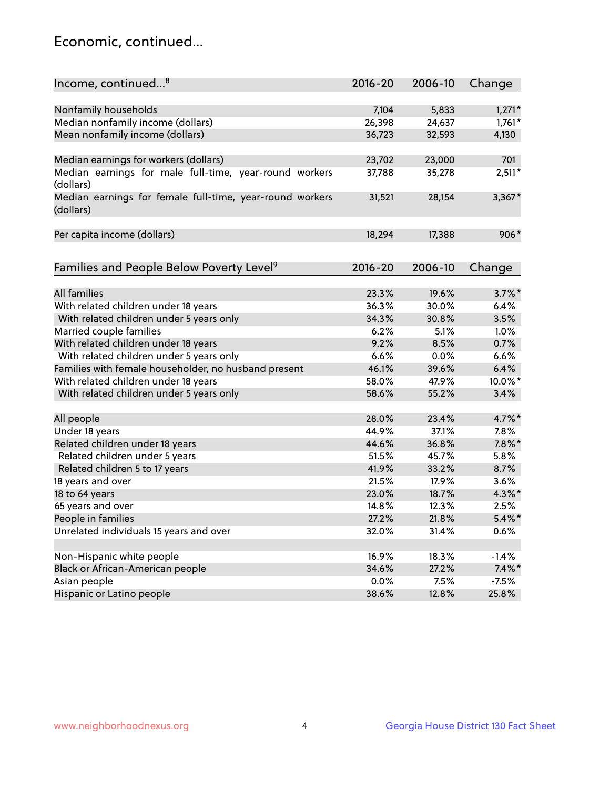## Economic, continued...

| Income, continued <sup>8</sup>                                        | $2016 - 20$ | 2006-10 | Change    |
|-----------------------------------------------------------------------|-------------|---------|-----------|
|                                                                       |             |         |           |
| Nonfamily households                                                  | 7,104       | 5,833   | $1,271*$  |
| Median nonfamily income (dollars)                                     | 26,398      | 24,637  | $1,761*$  |
| Mean nonfamily income (dollars)                                       | 36,723      | 32,593  | 4,130     |
| Median earnings for workers (dollars)                                 | 23,702      | 23,000  | 701       |
| Median earnings for male full-time, year-round workers                | 37,788      | 35,278  | $2,511*$  |
| (dollars)                                                             |             |         |           |
| Median earnings for female full-time, year-round workers<br>(dollars) | 31,521      | 28,154  | $3,367*$  |
| Per capita income (dollars)                                           | 18,294      | 17,388  | $906*$    |
|                                                                       |             |         |           |
| Families and People Below Poverty Level <sup>9</sup>                  | $2016 - 20$ | 2006-10 | Change    |
| <b>All families</b>                                                   |             |         | $3.7\%$ * |
|                                                                       | 23.3%       | 19.6%   |           |
| With related children under 18 years                                  | 36.3%       | 30.0%   | 6.4%      |
| With related children under 5 years only                              | 34.3%       | 30.8%   | 3.5%      |
| Married couple families                                               | 6.2%        | 5.1%    | 1.0%      |
| With related children under 18 years                                  | 9.2%        | 8.5%    | 0.7%      |
| With related children under 5 years only                              | 6.6%        | 0.0%    | 6.6%      |
| Families with female householder, no husband present                  | 46.1%       | 39.6%   | 6.4%      |
| With related children under 18 years                                  | 58.0%       | 47.9%   | 10.0%*    |
| With related children under 5 years only                              | 58.6%       | 55.2%   | 3.4%      |
| All people                                                            | 28.0%       | 23.4%   | 4.7%*     |
| Under 18 years                                                        | 44.9%       | 37.1%   | 7.8%      |
| Related children under 18 years                                       | 44.6%       | 36.8%   | $7.8\%$ * |
| Related children under 5 years                                        | 51.5%       | 45.7%   | 5.8%      |
| Related children 5 to 17 years                                        | 41.9%       | 33.2%   | 8.7%      |
| 18 years and over                                                     | 21.5%       | 17.9%   | 3.6%      |
| 18 to 64 years                                                        | 23.0%       | 18.7%   | 4.3%*     |
| 65 years and over                                                     | 14.8%       | 12.3%   | 2.5%      |
| People in families                                                    | 27.2%       | 21.8%   | $5.4\%$ * |
| Unrelated individuals 15 years and over                               | 32.0%       | 31.4%   | 0.6%      |
|                                                                       |             |         |           |
| Non-Hispanic white people                                             | 16.9%       | 18.3%   | $-1.4%$   |
| Black or African-American people                                      | 34.6%       | 27.2%   | $7.4\%$ * |
| Asian people                                                          | 0.0%        | 7.5%    | $-7.5%$   |
| Hispanic or Latino people                                             | 38.6%       | 12.8%   | 25.8%     |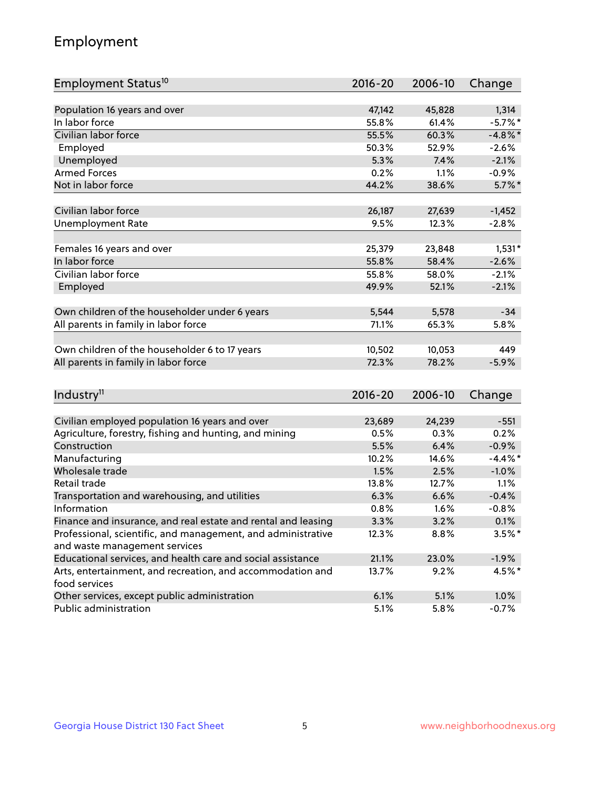## Employment

| Employment Status <sup>10</sup>                               | $2016 - 20$     | 2006-10 | Change     |
|---------------------------------------------------------------|-----------------|---------|------------|
|                                                               |                 |         |            |
| Population 16 years and over<br>In labor force                | 47,142<br>55.8% | 45,828  | 1,314      |
| Civilian labor force                                          |                 | 61.4%   | $-5.7\%$ * |
|                                                               | 55.5%           | 60.3%   | $-4.8\%$ * |
| Employed                                                      | 50.3%           | 52.9%   | $-2.6%$    |
| Unemployed                                                    | 5.3%            | 7.4%    | $-2.1%$    |
| <b>Armed Forces</b>                                           | 0.2%            | 1.1%    | $-0.9%$    |
| Not in labor force                                            | 44.2%           | 38.6%   | $5.7\%$ *  |
| Civilian labor force                                          | 26,187          | 27,639  | $-1,452$   |
| <b>Unemployment Rate</b>                                      | 9.5%            | 12.3%   | $-2.8%$    |
|                                                               |                 |         |            |
| Females 16 years and over                                     | 25,379          | 23,848  | $1,531*$   |
| In labor force                                                | 55.8%           | 58.4%   | $-2.6%$    |
| Civilian labor force                                          | 55.8%           | 58.0%   | $-2.1%$    |
| Employed                                                      | 49.9%           | 52.1%   | $-2.1%$    |
|                                                               |                 | 5,578   | $-34$      |
| Own children of the householder under 6 years                 | 5,544           |         |            |
| All parents in family in labor force                          | 71.1%           | 65.3%   | 5.8%       |
| Own children of the householder 6 to 17 years                 | 10,502          | 10,053  | 449        |
| All parents in family in labor force                          | 72.3%           | 78.2%   | $-5.9%$    |
|                                                               |                 |         |            |
| Industry <sup>11</sup>                                        | $2016 - 20$     | 2006-10 | Change     |
|                                                               |                 |         |            |
| Civilian employed population 16 years and over                | 23,689          | 24,239  | $-551$     |
| Agriculture, forestry, fishing and hunting, and mining        | 0.5%            | 0.3%    | 0.2%       |
| Construction                                                  | 5.5%            | 6.4%    | $-0.9%$    |
| Manufacturing                                                 | 10.2%           | 14.6%   | $-4.4\%$ * |
| Wholesale trade                                               | 1.5%            | 2.5%    | $-1.0%$    |
| Retail trade                                                  | 13.8%           | 12.7%   | 1.1%       |
| Transportation and warehousing, and utilities                 | 6.3%            | 6.6%    | $-0.4%$    |
| Information                                                   | 0.8%            | 1.6%    | $-0.8%$    |
| Finance and insurance, and real estate and rental and leasing | 3.3%            | 3.2%    | 0.1%       |
| Professional, scientific, and management, and administrative  | 12.3%           | 8.8%    | $3.5%$ *   |
| and waste management services                                 |                 |         |            |
| Educational services, and health care and social assistance   | 21.1%           | 23.0%   | $-1.9%$    |
| Arts, entertainment, and recreation, and accommodation and    | 13.7%           | 9.2%    | $4.5%$ *   |
| food services                                                 |                 |         |            |
| Other services, except public administration                  | 6.1%            | 5.1%    | 1.0%       |
| Public administration                                         | 5.1%            | 5.8%    | $-0.7%$    |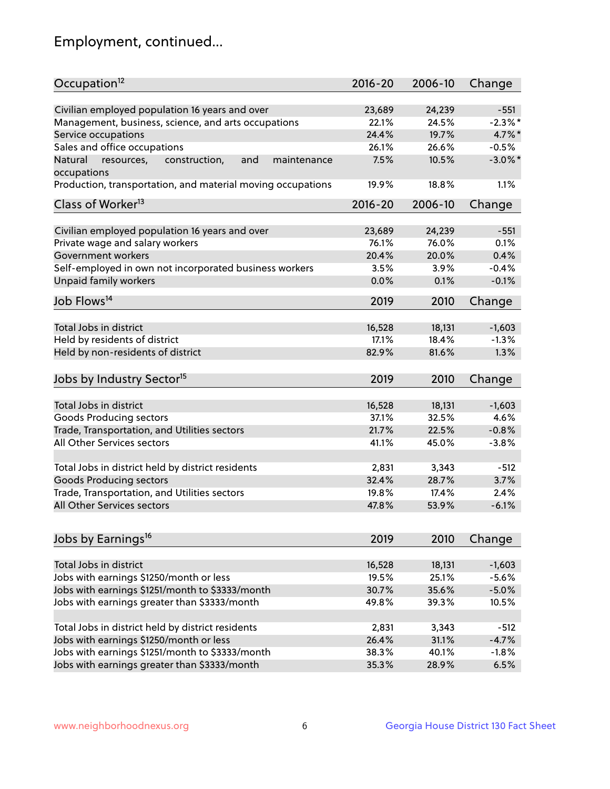## Employment, continued...

| Occupation <sup>12</sup>                                                    | $2016 - 20$     | 2006-10         | Change               |
|-----------------------------------------------------------------------------|-----------------|-----------------|----------------------|
| Civilian employed population 16 years and over                              |                 |                 |                      |
|                                                                             | 23,689<br>22.1% | 24,239<br>24.5% | $-551$<br>$-2.3\%$ * |
| Management, business, science, and arts occupations<br>Service occupations  | 24.4%           | 19.7%           | 4.7%*                |
|                                                                             |                 |                 |                      |
| Sales and office occupations                                                | 26.1%           | 26.6%           | $-0.5%$              |
| Natural<br>and<br>resources,<br>construction,<br>maintenance<br>occupations | 7.5%            | 10.5%           | $-3.0\%$ *           |
| Production, transportation, and material moving occupations                 | 19.9%           | 18.8%           | 1.1%                 |
| Class of Worker <sup>13</sup>                                               | 2016-20         | 2006-10         | Change               |
|                                                                             |                 |                 |                      |
| Civilian employed population 16 years and over                              | 23,689          | 24,239          | $-551$               |
| Private wage and salary workers                                             | 76.1%           | 76.0%           | 0.1%                 |
| Government workers                                                          | 20.4%           | 20.0%           | 0.4%                 |
| Self-employed in own not incorporated business workers                      | 3.5%            | 3.9%            | $-0.4%$              |
| Unpaid family workers                                                       | 0.0%            | 0.1%            | $-0.1%$              |
| Job Flows <sup>14</sup>                                                     | 2019            | 2010            | Change               |
|                                                                             |                 |                 |                      |
| Total Jobs in district                                                      | 16,528          | 18,131          | $-1,603$             |
| Held by residents of district                                               | 17.1%           | 18.4%           | $-1.3%$              |
| Held by non-residents of district                                           | 82.9%           | 81.6%           | 1.3%                 |
| Jobs by Industry Sector <sup>15</sup>                                       | 2019            | 2010            | Change               |
|                                                                             |                 |                 |                      |
| Total Jobs in district                                                      | 16,528          | 18,131          | $-1,603$             |
| Goods Producing sectors                                                     | 37.1%           | 32.5%           | 4.6%                 |
| Trade, Transportation, and Utilities sectors                                | 21.7%           | 22.5%           | $-0.8%$              |
| All Other Services sectors                                                  | 41.1%           | 45.0%           | $-3.8%$              |
|                                                                             |                 |                 |                      |
| Total Jobs in district held by district residents                           | 2,831           | 3,343           | $-512$               |
| <b>Goods Producing sectors</b>                                              | 32.4%           | 28.7%           | 3.7%                 |
| Trade, Transportation, and Utilities sectors                                | 19.8%           | 17.4%           | 2.4%                 |
| All Other Services sectors                                                  | 47.8%           | 53.9%           | $-6.1%$              |
|                                                                             |                 |                 |                      |
| Jobs by Earnings <sup>16</sup>                                              | 2019            | 2010            | Change               |
|                                                                             |                 |                 |                      |
| Total Jobs in district                                                      | 16,528          | 18,131          | $-1,603$             |
| Jobs with earnings \$1250/month or less                                     | 19.5%           | 25.1%           | $-5.6%$              |
| Jobs with earnings \$1251/month to \$3333/month                             | 30.7%           | 35.6%           | $-5.0%$              |
| Jobs with earnings greater than \$3333/month                                | 49.8%           | 39.3%           | 10.5%                |
| Total Jobs in district held by district residents                           | 2,831           | 3,343           | $-512$               |
| Jobs with earnings \$1250/month or less                                     | 26.4%           | 31.1%           | $-4.7%$              |
| Jobs with earnings \$1251/month to \$3333/month                             | 38.3%           | 40.1%           | $-1.8%$              |
| Jobs with earnings greater than \$3333/month                                | 35.3%           | 28.9%           | 6.5%                 |
|                                                                             |                 |                 |                      |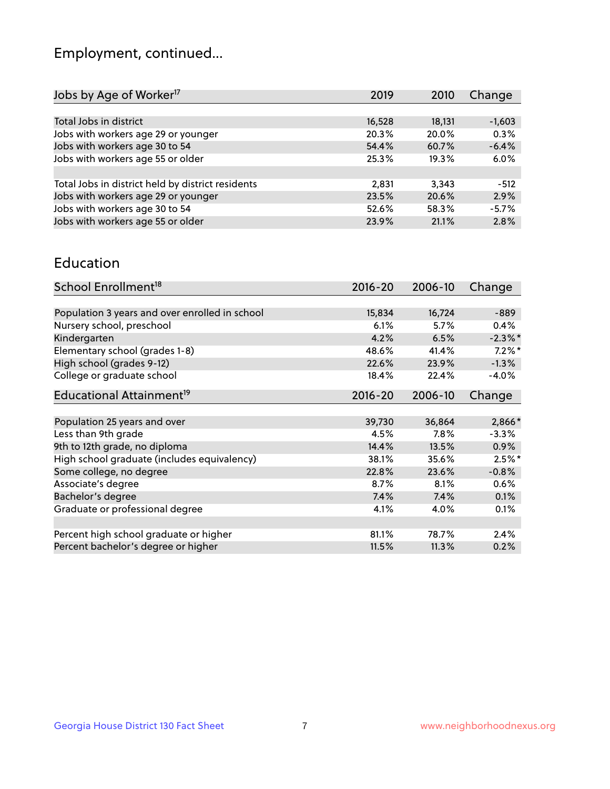## Employment, continued...

| Jobs by Age of Worker <sup>17</sup>               | 2019   | 2010   | Change   |
|---------------------------------------------------|--------|--------|----------|
|                                                   |        |        |          |
| Total Jobs in district                            | 16,528 | 18,131 | $-1,603$ |
| Jobs with workers age 29 or younger               | 20.3%  | 20.0%  | 0.3%     |
| Jobs with workers age 30 to 54                    | 54.4%  | 60.7%  | $-6.4%$  |
| Jobs with workers age 55 or older                 | 25.3%  | 19.3%  | 6.0%     |
|                                                   |        |        |          |
| Total Jobs in district held by district residents | 2,831  | 3.343  | $-512$   |
| Jobs with workers age 29 or younger               | 23.5%  | 20.6%  | 2.9%     |
| Jobs with workers age 30 to 54                    | 52.6%  | 58.3%  | $-5.7%$  |
| Jobs with workers age 55 or older                 | 23.9%  | 21.1%  | 2.8%     |
|                                                   |        |        |          |

#### Education

| School Enrollment <sup>18</sup>                | $2016 - 20$ | 2006-10 | Change     |
|------------------------------------------------|-------------|---------|------------|
|                                                |             |         |            |
| Population 3 years and over enrolled in school | 15,834      | 16,724  | $-889$     |
| Nursery school, preschool                      | 6.1%        | 5.7%    | 0.4%       |
| Kindergarten                                   | 4.2%        | 6.5%    | $-2.3\%$ * |
| Elementary school (grades 1-8)                 | 48.6%       | 41.4%   | $7.2\%$ *  |
| High school (grades 9-12)                      | 22.6%       | 23.9%   | $-1.3%$    |
| College or graduate school                     | 18.4%       | 22.4%   | $-4.0%$    |
| Educational Attainment <sup>19</sup>           | $2016 - 20$ | 2006-10 | Change     |
|                                                |             |         |            |
| Population 25 years and over                   | 39,730      | 36,864  | 2,866*     |
| Less than 9th grade                            | 4.5%        | $7.8\%$ | $-3.3%$    |
| 9th to 12th grade, no diploma                  | 14.4%       | 13.5%   | $0.9\%$    |
| High school graduate (includes equivalency)    | 38.1%       | 35.6%   | $2.5\%$ *  |
| Some college, no degree                        | 22.8%       | 23.6%   | $-0.8%$    |
| Associate's degree                             | 8.7%        | 8.1%    | 0.6%       |
| Bachelor's degree                              | 7.4%        | 7.4%    | 0.1%       |
| Graduate or professional degree                | 4.1%        | 4.0%    | 0.1%       |
|                                                |             |         |            |
| Percent high school graduate or higher         | 81.1%       | 78.7%   | 2.4%       |
| Percent bachelor's degree or higher            | 11.5%       | 11.3%   | 0.2%       |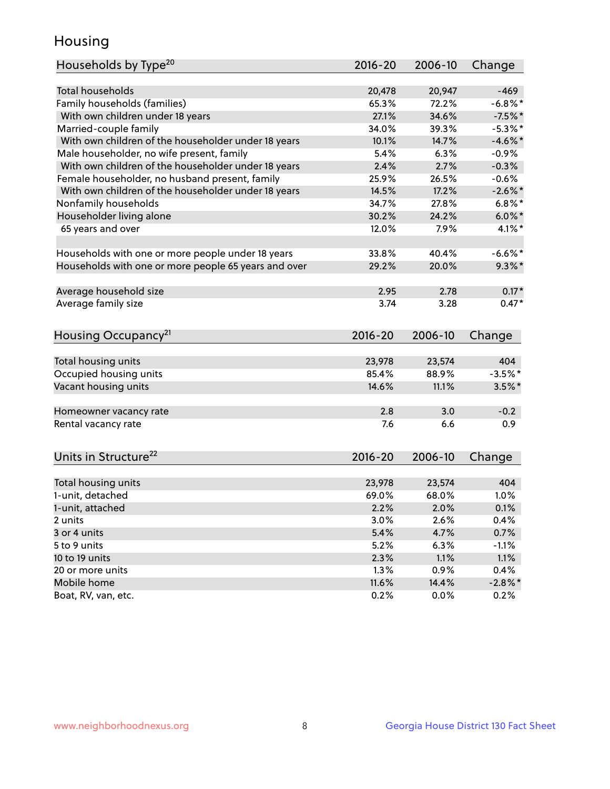## Housing

| Households by Type <sup>20</sup>                     | 2016-20     | 2006-10 | Change     |
|------------------------------------------------------|-------------|---------|------------|
| <b>Total households</b>                              |             | 20,947  | $-469$     |
|                                                      | 20,478      |         |            |
| Family households (families)                         | 65.3%       | 72.2%   | $-6.8\%$ * |
| With own children under 18 years                     | 27.1%       | 34.6%   | $-7.5%$ *  |
| Married-couple family                                | 34.0%       | 39.3%   | $-5.3\%$ * |
| With own children of the householder under 18 years  | 10.1%       | 14.7%   | $-4.6\%$ * |
| Male householder, no wife present, family            | 5.4%        | 6.3%    | $-0.9%$    |
| With own children of the householder under 18 years  | 2.4%        | 2.7%    | $-0.3%$    |
| Female householder, no husband present, family       | 25.9%       | 26.5%   | $-0.6%$    |
| With own children of the householder under 18 years  | 14.5%       | 17.2%   | $-2.6\%$ * |
| Nonfamily households                                 | 34.7%       | 27.8%   | $6.8\%$ *  |
| Householder living alone                             | 30.2%       | 24.2%   | $6.0\%$ *  |
| 65 years and over                                    | 12.0%       | 7.9%    | $4.1\%$ *  |
|                                                      |             |         |            |
| Households with one or more people under 18 years    | 33.8%       | 40.4%   | $-6.6\%$ * |
| Households with one or more people 65 years and over | 29.2%       | 20.0%   | $9.3\%$ *  |
|                                                      |             |         |            |
| Average household size                               | 2.95        | 2.78    | $0.17*$    |
| Average family size                                  | 3.74        | 3.28    | $0.47*$    |
|                                                      |             |         |            |
|                                                      |             |         |            |
|                                                      |             |         |            |
| Housing Occupancy <sup>21</sup>                      | $2016 - 20$ | 2006-10 | Change     |
|                                                      |             |         |            |
| Total housing units                                  | 23,978      | 23,574  | 404        |
| Occupied housing units                               | 85.4%       | 88.9%   | $-3.5%$ *  |
| Vacant housing units                                 | 14.6%       | 11.1%   | $3.5\%$ *  |
|                                                      |             |         |            |
| Homeowner vacancy rate                               | 2.8         | 3.0     | $-0.2$     |
| Rental vacancy rate                                  | 7.6         | 6.6     | 0.9        |
|                                                      |             |         |            |
| Units in Structure <sup>22</sup>                     | $2016 - 20$ | 2006-10 | Change     |
|                                                      |             |         |            |
| Total housing units                                  | 23,978      | 23,574  | 404        |
| 1-unit, detached                                     | 69.0%       | 68.0%   | 1.0%       |
| 1-unit, attached                                     | 2.2%        | 2.0%    | 0.1%       |
| 2 units                                              | 3.0%        | 2.6%    | 0.4%       |
| 3 or 4 units                                         | 5.4%        | 4.7%    | 0.7%       |
| 5 to 9 units                                         | 5.2%        | 6.3%    | $-1.1%$    |
| 10 to 19 units                                       | 2.3%        | 1.1%    | 1.1%       |
| 20 or more units                                     | 1.3%        | 0.9%    | 0.4%       |
| Mobile home                                          | 11.6%       | 14.4%   | $-2.8\%$ * |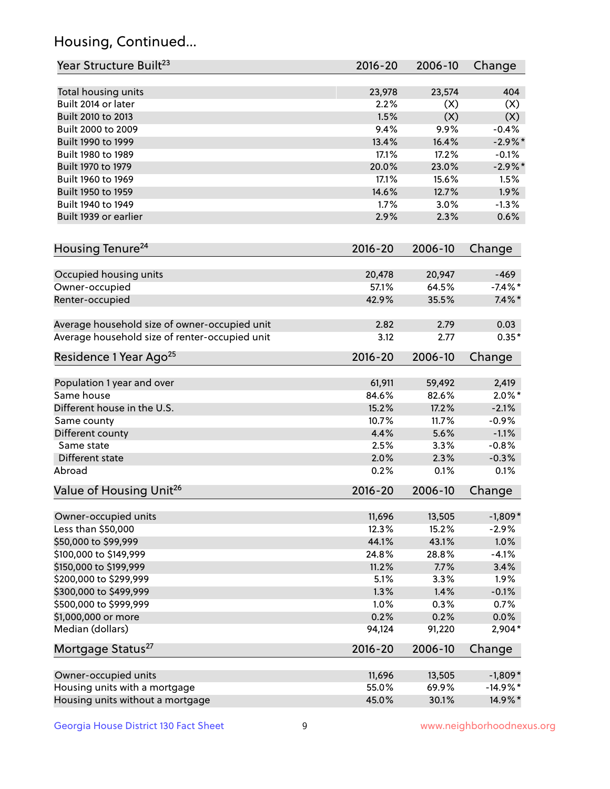## Housing, Continued...

| Year Structure Built <sup>23</sup>             | 2016-20     | 2006-10 | Change     |
|------------------------------------------------|-------------|---------|------------|
| Total housing units                            | 23,978      | 23,574  | 404        |
| Built 2014 or later                            | 2.2%        | (X)     | (X)        |
| Built 2010 to 2013                             | 1.5%        | (X)     | (X)        |
| Built 2000 to 2009                             | 9.4%        | 9.9%    | $-0.4%$    |
| Built 1990 to 1999                             | 13.4%       | 16.4%   | $-2.9%$ *  |
| Built 1980 to 1989                             | 17.1%       | 17.2%   | $-0.1%$    |
| Built 1970 to 1979                             | 20.0%       | 23.0%   | $-2.9%$ *  |
| Built 1960 to 1969                             | 17.1%       | 15.6%   | 1.5%       |
| Built 1950 to 1959                             | 14.6%       | 12.7%   | 1.9%       |
| Built 1940 to 1949                             | 1.7%        | 3.0%    | $-1.3%$    |
| Built 1939 or earlier                          | 2.9%        | 2.3%    | 0.6%       |
|                                                |             |         |            |
| Housing Tenure <sup>24</sup>                   | $2016 - 20$ | 2006-10 | Change     |
| Occupied housing units                         | 20,478      | 20,947  | $-469$     |
| Owner-occupied                                 | 57.1%       | 64.5%   | $-7.4\%$ * |
| Renter-occupied                                | 42.9%       | 35.5%   | $7.4\%$ *  |
| Average household size of owner-occupied unit  | 2.82        | 2.79    | 0.03       |
| Average household size of renter-occupied unit | 3.12        | 2.77    | $0.35*$    |
| Residence 1 Year Ago <sup>25</sup>             | $2016 - 20$ | 2006-10 | Change     |
| Population 1 year and over                     | 61,911      | 59,492  | 2,419      |
| Same house                                     | 84.6%       | 82.6%   | $2.0\%$ *  |
| Different house in the U.S.                    | 15.2%       | 17.2%   | $-2.1%$    |
| Same county                                    | 10.7%       | 11.7%   | $-0.9%$    |
| Different county                               | 4.4%        | 5.6%    | $-1.1%$    |
| Same state                                     | 2.5%        | 3.3%    | $-0.8%$    |
| Different state                                | 2.0%        | 2.3%    | $-0.3%$    |
| Abroad                                         | 0.2%        | 0.1%    | 0.1%       |
| Value of Housing Unit <sup>26</sup>            | $2016 - 20$ | 2006-10 | Change     |
|                                                |             |         |            |
| Owner-occupied units                           | 11,696      | 13,505  | $-1,809*$  |
| Less than \$50,000                             | 12.3%       | 15.2%   | $-2.9%$    |
| \$50,000 to \$99,999                           | 44.1%       | 43.1%   | 1.0%       |
| \$100,000 to \$149,999                         | 24.8%       | 28.8%   | $-4.1%$    |
| \$150,000 to \$199,999                         | 11.2%       | 7.7%    | 3.4%       |
| \$200,000 to \$299,999                         | 5.1%        | 3.3%    | 1.9%       |
| \$300,000 to \$499,999                         | 1.3%        | 1.4%    | $-0.1%$    |
| \$500,000 to \$999,999                         | 1.0%        | 0.3%    | 0.7%       |
| \$1,000,000 or more                            | 0.2%        | 0.2%    | 0.0%       |
| Median (dollars)                               | 94,124      | 91,220  | 2,904*     |
| Mortgage Status <sup>27</sup>                  | $2016 - 20$ | 2006-10 | Change     |
| Owner-occupied units                           | 11,696      | 13,505  | $-1,809*$  |
| Housing units with a mortgage                  | 55.0%       | 69.9%   | $-14.9%$ * |
| Housing units without a mortgage               | 45.0%       | 30.1%   | 14.9%*     |
|                                                |             |         |            |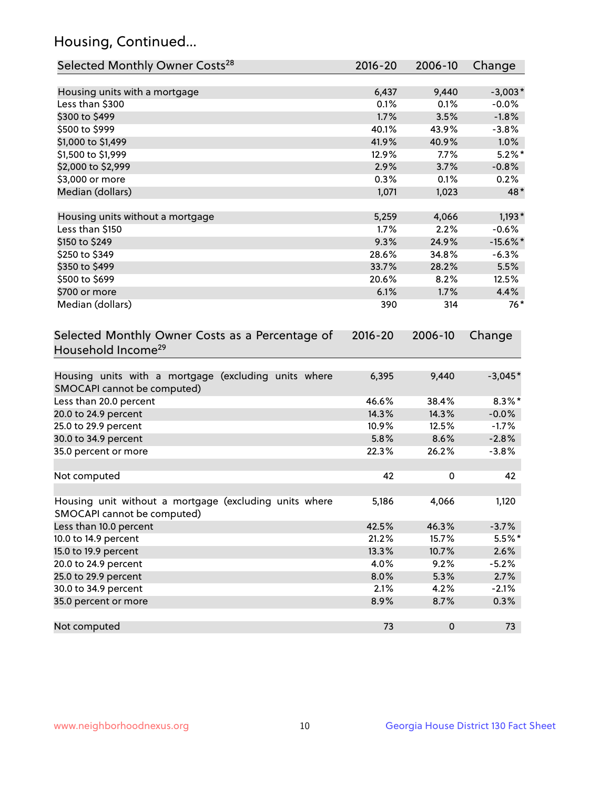## Housing, Continued...

| Selected Monthly Owner Costs <sup>28</sup>                                            | 2016-20     | 2006-10   | Change      |
|---------------------------------------------------------------------------------------|-------------|-----------|-------------|
| Housing units with a mortgage                                                         | 6,437       | 9,440     | $-3,003*$   |
| Less than \$300                                                                       | 0.1%        | 0.1%      | $-0.0%$     |
| \$300 to \$499                                                                        | 1.7%        | 3.5%      | $-1.8%$     |
| \$500 to \$999                                                                        | 40.1%       | 43.9%     | $-3.8%$     |
| \$1,000 to \$1,499                                                                    | 41.9%       | 40.9%     | 1.0%        |
| \$1,500 to \$1,999                                                                    | 12.9%       | 7.7%      | $5.2\%$ *   |
| \$2,000 to \$2,999                                                                    | 2.9%        | 3.7%      | $-0.8%$     |
| \$3,000 or more                                                                       | 0.3%        | 0.1%      | 0.2%        |
| Median (dollars)                                                                      | 1,071       | 1,023     | 48*         |
| Housing units without a mortgage                                                      | 5,259       | 4,066     | $1,193*$    |
| Less than \$150                                                                       | 1.7%        | 2.2%      | $-0.6%$     |
| \$150 to \$249                                                                        | 9.3%        | 24.9%     | $-15.6\%$ * |
| \$250 to \$349                                                                        | 28.6%       | 34.8%     | $-6.3%$     |
| \$350 to \$499                                                                        | 33.7%       | 28.2%     | 5.5%        |
| \$500 to \$699                                                                        | 20.6%       | 8.2%      | 12.5%       |
| \$700 or more                                                                         | 6.1%        | 1.7%      | 4.4%        |
| Median (dollars)                                                                      | 390         | 314       | $76*$       |
| Selected Monthly Owner Costs as a Percentage of<br>Household Income <sup>29</sup>     | $2016 - 20$ | 2006-10   | Change      |
| Housing units with a mortgage (excluding units where<br>SMOCAPI cannot be computed)   | 6,395       | 9,440     | $-3,045*$   |
| Less than 20.0 percent                                                                | 46.6%       | 38.4%     | $8.3\%$ *   |
| 20.0 to 24.9 percent                                                                  | 14.3%       | 14.3%     | $-0.0%$     |
| 25.0 to 29.9 percent                                                                  | 10.9%       | 12.5%     | $-1.7%$     |
| 30.0 to 34.9 percent                                                                  | 5.8%        | 8.6%      | $-2.8%$     |
| 35.0 percent or more                                                                  | 22.3%       | 26.2%     | $-3.8%$     |
| Not computed                                                                          | 42          | 0         | 42          |
| Housing unit without a mortgage (excluding units where<br>SMOCAPI cannot be computed) | 5,186       | 4,066     | 1,120       |
| Less than 10.0 percent                                                                | 42.5%       | 46.3%     | $-3.7%$     |
| 10.0 to 14.9 percent                                                                  | 21.2%       | 15.7%     | $5.5%$ *    |
| 15.0 to 19.9 percent                                                                  | 13.3%       | 10.7%     | 2.6%        |
| 20.0 to 24.9 percent                                                                  | 4.0%        | 9.2%      | $-5.2%$     |
| 25.0 to 29.9 percent                                                                  | 8.0%        | 5.3%      | 2.7%        |
| 30.0 to 34.9 percent                                                                  | 2.1%        | 4.2%      | $-2.1%$     |
| 35.0 percent or more                                                                  | 8.9%        | 8.7%      | 0.3%        |
| Not computed                                                                          | 73          | $\pmb{0}$ | 73          |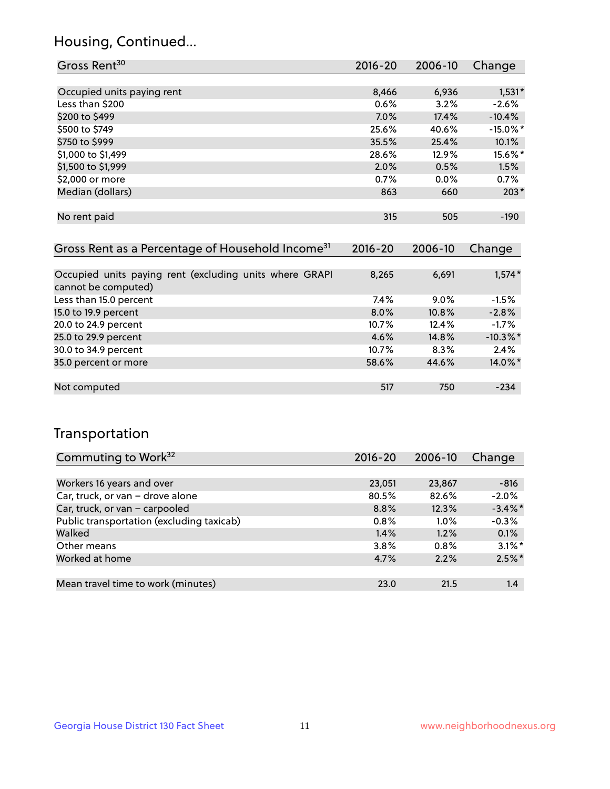## Housing, Continued...

| Gross Rent <sup>30</sup>                                     | 2016-20     | 2006-10 | Change      |
|--------------------------------------------------------------|-------------|---------|-------------|
|                                                              |             |         |             |
| Occupied units paying rent                                   | 8,466       | 6,936   | $1,531*$    |
| Less than \$200                                              | $0.6\%$     | 3.2%    | $-2.6%$     |
| \$200 to \$499                                               | $7.0\%$     | 17.4%   | $-10.4%$    |
| \$500 to \$749                                               | 25.6%       | 40.6%   | $-15.0\%$ * |
| \$750 to \$999                                               | 35.5%       | 25.4%   | 10.1%       |
| \$1,000 to \$1,499                                           | 28.6%       | 12.9%   | 15.6%*      |
| \$1,500 to \$1,999                                           | $2.0\%$     | 0.5%    | 1.5%        |
| \$2,000 or more                                              | 0.7%        | $0.0\%$ | $0.7\%$     |
| Median (dollars)                                             | 863         | 660     | $203*$      |
|                                                              |             |         |             |
| No rent paid                                                 | 315         | 505     | $-190$      |
|                                                              |             |         |             |
| Gross Rent as a Percentage of Household Income <sup>31</sup> | $2016 - 20$ | 2006-10 | Change      |
|                                                              |             |         |             |
| Occupied units paying rent (excluding units where GRAPI      | 8,265       | 6,691   | $1,574*$    |

| cannot be computed)    |          |          |             |
|------------------------|----------|----------|-------------|
| Less than 15.0 percent | 7.4%     | $9.0\%$  | $-1.5%$     |
| 15.0 to 19.9 percent   | $8.0\%$  | $10.8\%$ | $-2.8%$     |
| 20.0 to 24.9 percent   | 10.7%    | 12.4%    | $-1.7%$     |
| 25.0 to 29.9 percent   | 4.6%     | 14.8%    | $-10.3\%$ * |
| 30.0 to 34.9 percent   | $10.7\%$ | 8.3%     | 2.4%        |
| 35.0 percent or more   | 58.6%    | 44.6%    | 14.0%*      |
|                        |          |          |             |
| Not computed           | 517      | 750      | $-234$      |

## Transportation

| Commuting to Work <sup>32</sup>           | 2016-20 | 2006-10 | Change     |
|-------------------------------------------|---------|---------|------------|
|                                           |         |         |            |
| Workers 16 years and over                 | 23,051  | 23,867  | $-816$     |
| Car, truck, or van - drove alone          | 80.5%   | 82.6%   | $-2.0%$    |
| Car, truck, or van - carpooled            | 8.8%    | 12.3%   | $-3.4\%$ * |
| Public transportation (excluding taxicab) | 0.8%    | $1.0\%$ | $-0.3%$    |
| Walked                                    | 1.4%    | 1.2%    | 0.1%       |
| Other means                               | 3.8%    | $0.8\%$ | $3.1\%$ *  |
| Worked at home                            | 4.7%    | 2.2%    | $2.5\%$ *  |
|                                           |         |         |            |
| Mean travel time to work (minutes)        | 23.0    | 21.5    | 1.4        |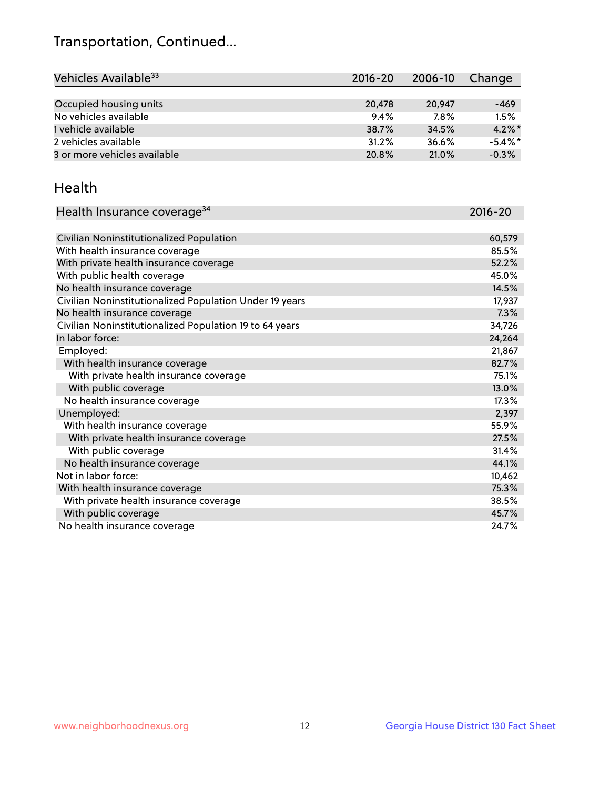## Transportation, Continued...

| Vehicles Available <sup>33</sup> | $2016 - 20$ | 2006-10 | Change     |
|----------------------------------|-------------|---------|------------|
|                                  |             |         |            |
| Occupied housing units           | 20,478      | 20,947  | $-469$     |
| No vehicles available            | 9.4%        | 7.8%    | 1.5%       |
| 1 vehicle available              | 38.7%       | 34.5%   | $4.2\%$ *  |
| 2 vehicles available             | 31.2%       | 36.6%   | $-5.4\%$ * |
| 3 or more vehicles available     | 20.8%       | 21.0%   | $-0.3%$    |

#### Health

| Health Insurance coverage <sup>34</sup>                 | 2016-20 |
|---------------------------------------------------------|---------|
|                                                         |         |
| Civilian Noninstitutionalized Population                | 60,579  |
| With health insurance coverage                          | 85.5%   |
| With private health insurance coverage                  | 52.2%   |
| With public health coverage                             | 45.0%   |
| No health insurance coverage                            | 14.5%   |
| Civilian Noninstitutionalized Population Under 19 years | 17,937  |
| No health insurance coverage                            | 7.3%    |
| Civilian Noninstitutionalized Population 19 to 64 years | 34,726  |
| In labor force:                                         | 24,264  |
| Employed:                                               | 21,867  |
| With health insurance coverage                          | 82.7%   |
| With private health insurance coverage                  | 75.1%   |
| With public coverage                                    | 13.0%   |
| No health insurance coverage                            | 17.3%   |
| Unemployed:                                             | 2,397   |
| With health insurance coverage                          | 55.9%   |
| With private health insurance coverage                  | 27.5%   |
| With public coverage                                    | 31.4%   |
| No health insurance coverage                            | 44.1%   |
| Not in labor force:                                     | 10,462  |
| With health insurance coverage                          | 75.3%   |
| With private health insurance coverage                  | 38.5%   |
| With public coverage                                    | 45.7%   |
| No health insurance coverage                            | 24.7%   |